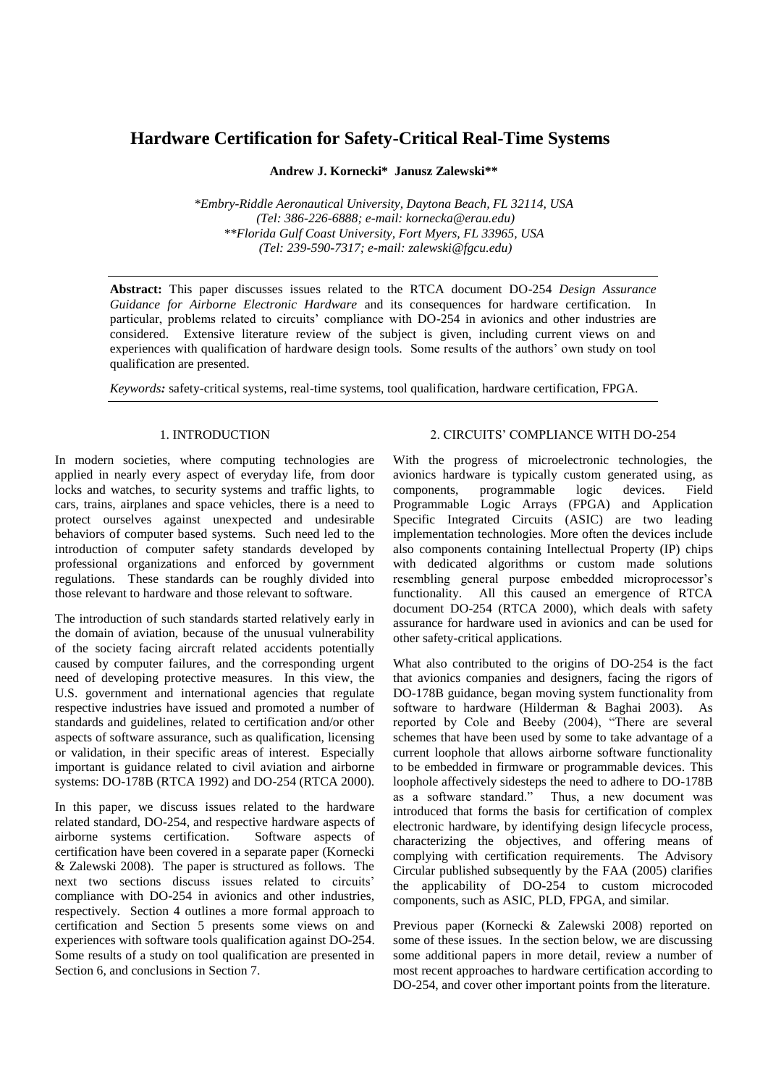# **Hardware Certification for Safety-Critical Real-Time Systems**

**Andrew J. Kornecki\* Janusz Zalewski\*\***

*\*Embry-Riddle Aeronautical University, Daytona Beach, FL 32114, USA (Tel: 386-226-6888; e-mail: kornecka@erau.edu) \*\*Florida Gulf Coast University, Fort Myers, FL 33965, USA (Tel: 239-590-7317; e-mail: zalewski@fgcu.edu)*

**Abstract:** This paper discusses issues related to the RTCA document DO-254 *Design Assurance Guidance for Airborne Electronic Hardware* and its consequences for hardware certification. In particular, problems related to circuits' compliance with DO-254 in avionics and other industries are considered. Extensive literature review of the subject is given, including current views on and experiences with qualification of hardware design tools. Some results of the authors' own study on tool qualification are presented.

*Keywords:* safety-critical systems, real-time systems, tool qualification, hardware certification, FPGA.

# 1. INTRODUCTION

In modern societies, where computing technologies are applied in nearly every aspect of everyday life, from door locks and watches, to security systems and traffic lights, to cars, trains, airplanes and space vehicles, there is a need to protect ourselves against unexpected and undesirable behaviors of computer based systems. Such need led to the introduction of computer safety standards developed by professional organizations and enforced by government regulations. These standards can be roughly divided into those relevant to hardware and those relevant to software.

The introduction of such standards started relatively early in the domain of aviation, because of the unusual vulnerability of the society facing aircraft related accidents potentially caused by computer failures, and the corresponding urgent need of developing protective measures. In this view, the U.S. government and international agencies that regulate respective industries have issued and promoted a number of standards and guidelines, related to certification and/or other aspects of software assurance, such as qualification, licensing or validation, in their specific areas of interest. Especially important is guidance related to civil aviation and airborne systems: DO-178B (RTCA 1992) and DO-254 (RTCA 2000).

In this paper, we discuss issues related to the hardware related standard, DO-254, and respective hardware aspects of airborne systems certification. Software aspects of certification have been covered in a separate paper (Kornecki & Zalewski 2008). The paper is structured as follows. The next two sections discuss issues related to circuits' compliance with DO-254 in avionics and other industries, respectively. Section 4 outlines a more formal approach to certification and Section 5 presents some views on and experiences with software tools qualification against DO-254. Some results of a study on tool qualification are presented in Section 6, and conclusions in Section 7.

# 2. CIRCUITS' COMPLIANCE WITH DO-254

With the progress of microelectronic technologies, the avionics hardware is typically custom generated using, as components, programmable logic devices. Field Programmable Logic Arrays (FPGA) and Application Specific Integrated Circuits (ASIC) are two leading implementation technologies. More often the devices include also components containing Intellectual Property (IP) chips with dedicated algorithms or custom made solutions resembling general purpose embedded microprocessor's functionality. All this caused an emergence of RTCA document DO-254 (RTCA 2000), which deals with safety assurance for hardware used in avionics and can be used for other safety-critical applications.

What also contributed to the origins of DO-254 is the fact that avionics companies and designers, facing the rigors of DO-178B guidance, began moving system functionality from software to hardware (Hilderman & Baghai 2003). As reported by Cole and Beeby (2004), "There are several schemes that have been used by some to take advantage of a current loophole that allows airborne software functionality to be embedded in firmware or programmable devices. This loophole affectively sidesteps the need to adhere to DO-178B as a software standard." Thus, a new document was introduced that forms the basis for certification of complex electronic hardware, by identifying design lifecycle process, characterizing the objectives, and offering means of complying with certification requirements. The Advisory Circular published subsequently by the FAA (2005) clarifies the applicability of DO-254 to custom microcoded components, such as ASIC, PLD, FPGA, and similar.

Previous paper (Kornecki & Zalewski 2008) reported on some of these issues. In the section below, we are discussing some additional papers in more detail, review a number of most recent approaches to hardware certification according to DO-254, and cover other important points from the literature.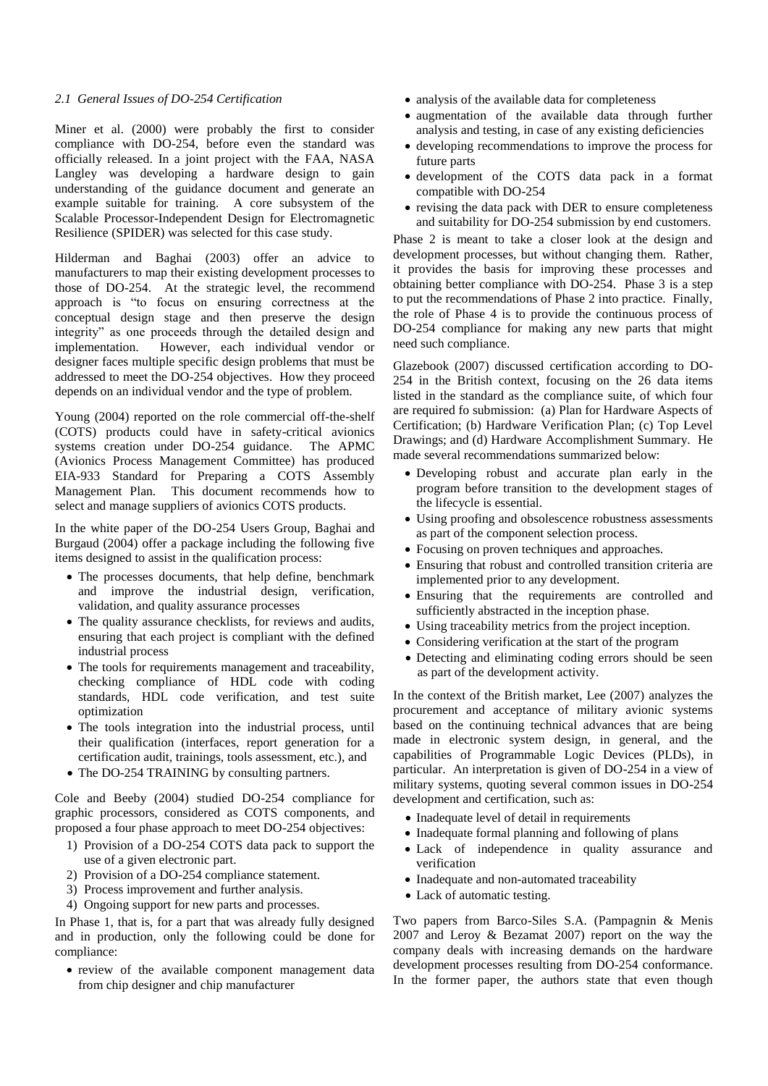#### *2.1 General Issues of DO-254 Certification*

Miner et al. (2000) were probably the first to consider compliance with DO-254, before even the standard was officially released. In a joint project with the FAA, NASA Langley was developing a hardware design to gain understanding of the guidance document and generate an example suitable for training. A core subsystem of the Scalable Processor-Independent Design for Electromagnetic Resilience (SPIDER) was selected for this case study.

Hilderman and Baghai (2003) offer an advice to manufacturers to map their existing development processes to those of DO-254. At the strategic level, the recommend approach is "to focus on ensuring correctness at the conceptual design stage and then preserve the design integrity" as one proceeds through the detailed design and implementation. However, each individual vendor or designer faces multiple specific design problems that must be addressed to meet the DO-254 objectives. How they proceed depends on an individual vendor and the type of problem.

Young (2004) reported on the role commercial off-the-shelf (COTS) products could have in safety-critical avionics systems creation under DO-254 guidance. The APMC (Avionics Process Management Committee) has produced EIA-933 Standard for Preparing a COTS Assembly Management Plan. This document recommends how to select and manage suppliers of avionics COTS products.

In the white paper of the DO-254 Users Group, Baghai and Burgaud (2004) offer a package including the following five items designed to assist in the qualification process:

- The processes documents, that help define, benchmark and improve the industrial design, verification, validation, and quality assurance processes
- The quality assurance checklists, for reviews and audits, ensuring that each project is compliant with the defined industrial process
- The tools for requirements management and traceability, checking compliance of HDL code with coding standards, HDL code verification, and test suite optimization
- The tools integration into the industrial process, until their qualification (interfaces, report generation for a certification audit, trainings, tools assessment, etc.), and
- The DO-254 TRAINING by consulting partners.

Cole and Beeby (2004) studied DO-254 compliance for graphic processors, considered as COTS components, and proposed a four phase approach to meet DO-254 objectives:

- 1) Provision of a DO-254 COTS data pack to support the use of a given electronic part.
- 2) Provision of a DO-254 compliance statement.
- 3) Process improvement and further analysis.
- 4) Ongoing support for new parts and processes.

In Phase 1, that is, for a part that was already fully designed and in production, only the following could be done for compliance:

• review of the available component management data from chip designer and chip manufacturer

- analysis of the available data for completeness
- augmentation of the available data through further analysis and testing, in case of any existing deficiencies
- developing recommendations to improve the process for future parts
- development of the COTS data pack in a format compatible with DO-254
- revising the data pack with DER to ensure completeness and suitability for DO-254 submission by end customers.

Phase 2 is meant to take a closer look at the design and development processes, but without changing them. Rather, it provides the basis for improving these processes and obtaining better compliance with DO-254. Phase 3 is a step to put the recommendations of Phase 2 into practice. Finally, the role of Phase 4 is to provide the continuous process of DO-254 compliance for making any new parts that might need such compliance.

Glazebook (2007) discussed certification according to DO-254 in the British context, focusing on the 26 data items listed in the standard as the compliance suite, of which four are required fo submission: (a) Plan for Hardware Aspects of Certification; (b) Hardware Verification Plan; (c) Top Level Drawings; and (d) Hardware Accomplishment Summary. He made several recommendations summarized below:

- Developing robust and accurate plan early in the program before transition to the development stages of the lifecycle is essential.
- Using proofing and obsolescence robustness assessments as part of the component selection process.
- Focusing on proven techniques and approaches.
- Ensuring that robust and controlled transition criteria are implemented prior to any development.
- Ensuring that the requirements are controlled and sufficiently abstracted in the inception phase.
- Using traceability metrics from the project inception.
- Considering verification at the start of the program
- Detecting and eliminating coding errors should be seen as part of the development activity.

In the context of the British market, Lee (2007) analyzes the procurement and acceptance of military avionic systems based on the continuing technical advances that are being made in electronic system design, in general, and the capabilities of Programmable Logic Devices (PLDs), in particular. An interpretation is given of DO-254 in a view of military systems, quoting several common issues in DO-254 development and certification, such as:

- Inadequate level of detail in requirements
- Inadequate formal planning and following of plans
- Lack of independence in quality assurance and verification
- Inadequate and non-automated traceability
- Lack of automatic testing.

Two papers from Barco-Siles S.A. (Pampagnin & Menis 2007 and Leroy & Bezamat 2007) report on the way the company deals with increasing demands on the hardware development processes resulting from DO-254 conformance. In the former paper, the authors state that even though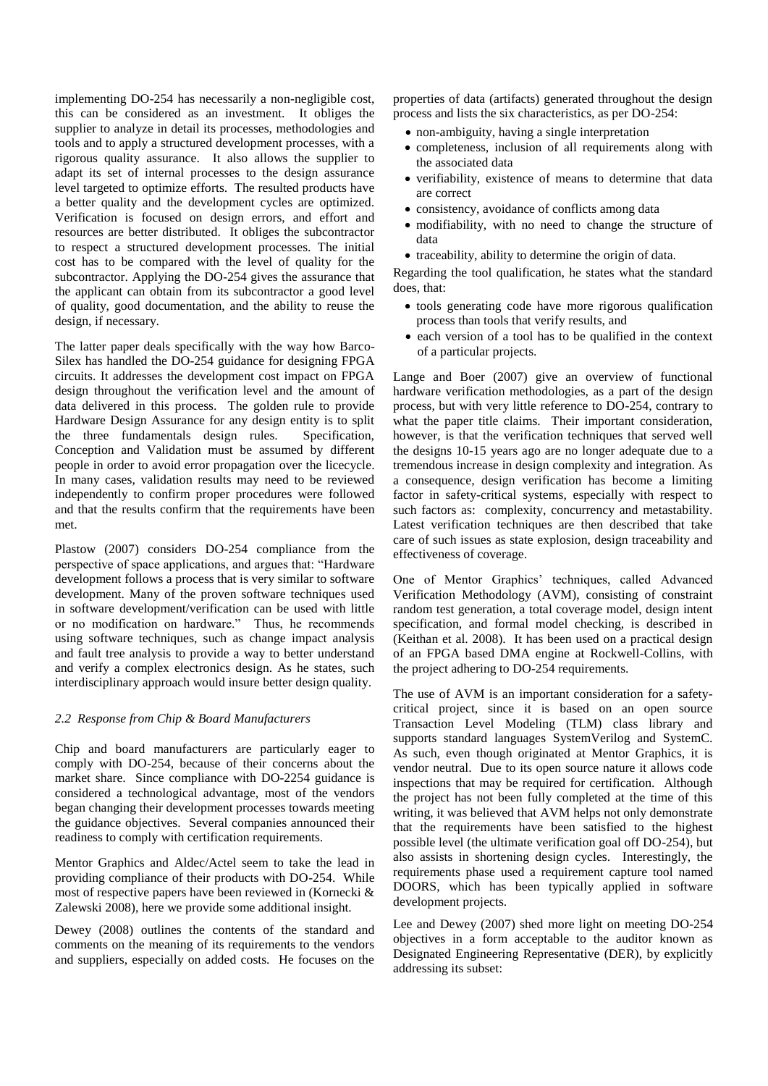implementing DO-254 has necessarily a non-negligible cost, this can be considered as an investment. It obliges the supplier to analyze in detail its processes, methodologies and tools and to apply a structured development processes, with a rigorous quality assurance. It also allows the supplier to adapt its set of internal processes to the design assurance level targeted to optimize efforts. The resulted products have a better quality and the development cycles are optimized. Verification is focused on design errors, and effort and resources are better distributed. It obliges the subcontractor to respect a structured development processes. The initial cost has to be compared with the level of quality for the subcontractor. Applying the DO-254 gives the assurance that the applicant can obtain from its subcontractor a good level of quality, good documentation, and the ability to reuse the design, if necessary.

The latter paper deals specifically with the way how Barco-Silex has handled the DO-254 guidance for designing FPGA circuits. It addresses the development cost impact on FPGA design throughout the verification level and the amount of data delivered in this process. The golden rule to provide Hardware Design Assurance for any design entity is to split the three fundamentals design rules. Specification, Conception and Validation must be assumed by different people in order to avoid error propagation over the licecycle. In many cases, validation results may need to be reviewed independently to confirm proper procedures were followed and that the results confirm that the requirements have been met.

Plastow (2007) considers DO-254 compliance from the perspective of space applications, and argues that: "Hardware development follows a process that is very similar to software development. Many of the proven software techniques used in software development/verification can be used with little or no modification on hardware." Thus, he recommends using software techniques, such as change impact analysis and fault tree analysis to provide a way to better understand and verify a complex electronics design. As he states, such interdisciplinary approach would insure better design quality.

# *2.2 Response from Chip & Board Manufacturers*

Chip and board manufacturers are particularly eager to comply with DO-254, because of their concerns about the market share. Since compliance with DO-2254 guidance is considered a technological advantage, most of the vendors began changing their development processes towards meeting the guidance objectives. Several companies announced their readiness to comply with certification requirements.

Mentor Graphics and Aldec/Actel seem to take the lead in providing compliance of their products with DO-254. While most of respective papers have been reviewed in (Kornecki & Zalewski 2008), here we provide some additional insight.

Dewey (2008) outlines the contents of the standard and comments on the meaning of its requirements to the vendors and suppliers, especially on added costs. He focuses on the

properties of data (artifacts) generated throughout the design process and lists the six characteristics, as per DO-254:

- non-ambiguity, having a single interpretation
- completeness, inclusion of all requirements along with the associated data
- verifiability, existence of means to determine that data are correct
- consistency, avoidance of conflicts among data
- modifiability, with no need to change the structure of data
- traceability, ability to determine the origin of data.

Regarding the tool qualification, he states what the standard does, that:

- tools generating code have more rigorous qualification process than tools that verify results, and
- each version of a tool has to be qualified in the context of a particular projects.

Lange and Boer (2007) give an overview of functional hardware verification methodologies, as a part of the design process, but with very little reference to DO-254, contrary to what the paper title claims. Their important consideration, however, is that the verification techniques that served well the designs 10-15 years ago are no longer adequate due to a tremendous increase in design complexity and integration. As a consequence, design verification has become a limiting factor in safety-critical systems, especially with respect to such factors as: complexity, concurrency and metastability. Latest verification techniques are then described that take care of such issues as state explosion, design traceability and effectiveness of coverage.

One of Mentor Graphics' techniques, called Advanced Verification Methodology (AVM), consisting of constraint random test generation, a total coverage model, design intent specification, and formal model checking, is described in (Keithan et al. 2008). It has been used on a practical design of an FPGA based DMA engine at Rockwell-Collins, with the project adhering to DO-254 requirements.

The use of AVM is an important consideration for a safetycritical project, since it is based on an open source Transaction Level Modeling (TLM) class library and supports standard languages SystemVerilog and SystemC. As such, even though originated at Mentor Graphics, it is vendor neutral. Due to its open source nature it allows code inspections that may be required for certification. Although the project has not been fully completed at the time of this writing, it was believed that AVM helps not only demonstrate that the requirements have been satisfied to the highest possible level (the ultimate verification goal off DO-254), but also assists in shortening design cycles. Interestingly, the requirements phase used a requirement capture tool named DOORS, which has been typically applied in software development projects.

Lee and Dewey (2007) shed more light on meeting DO-254 objectives in a form acceptable to the auditor known as Designated Engineering Representative (DER), by explicitly addressing its subset: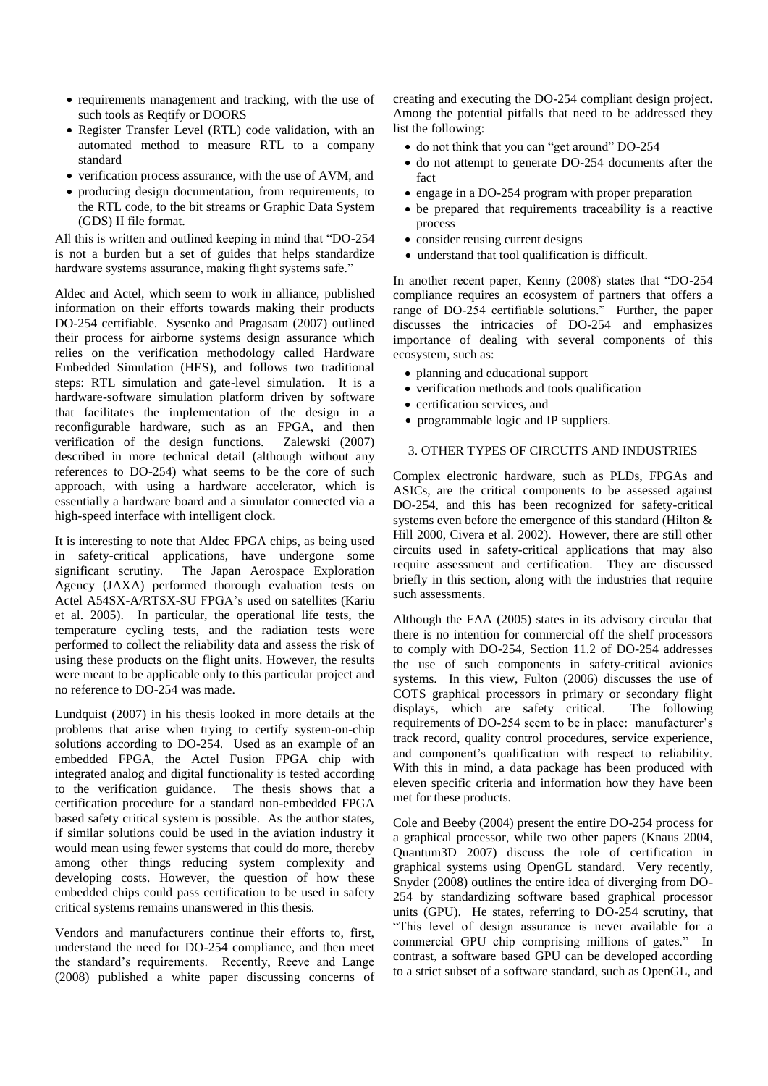- requirements management and tracking, with the use of such tools as Reqtify or DOORS
- Register Transfer Level (RTL) code validation, with an automated method to measure RTL to a company standard
- verification process assurance, with the use of AVM, and
- producing design documentation, from requirements, to the RTL code, to the bit streams or Graphic Data System (GDS) II file format.

All this is written and outlined keeping in mind that "DO-254 is not a burden but a set of guides that helps standardize hardware systems assurance, making flight systems safe."

Aldec and Actel, which seem to work in alliance, published information on their efforts towards making their products DO-254 certifiable. Sysenko and Pragasam (2007) outlined their process for airborne systems design assurance which relies on the verification methodology called Hardware Embedded Simulation (HES), and follows two traditional steps: RTL simulation and gate-level simulation. It is a hardware-software simulation platform driven by software that facilitates the implementation of the design in a reconfigurable hardware, such as an FPGA, and then verification of the design functions. Zalewski (2007) described in more technical detail (although without any references to DO-254) what seems to be the core of such approach, with using a hardware accelerator, which is essentially a hardware board and a simulator connected via a high-speed interface with intelligent clock.

It is interesting to note that Aldec FPGA chips, as being used in safety-critical applications, have undergone some significant scrutiny. The Japan Aerospace Exploration Agency (JAXA) performed thorough evaluation tests on Actel A54SX-A/RTSX-SU FPGA's used on satellites (Kariu et al. 2005). In particular, the operational life tests, the temperature cycling tests, and the radiation tests were performed to collect the reliability data and assess the risk of using these products on the flight units. However, the results were meant to be applicable only to this particular project and no reference to DO-254 was made.

Lundquist (2007) in his thesis looked in more details at the problems that arise when trying to certify system-on-chip solutions according to DO-254. Used as an example of an embedded FPGA, the Actel Fusion FPGA chip with integrated analog and digital functionality is tested according to the verification guidance. The thesis shows that a certification procedure for a standard non-embedded FPGA based safety critical system is possible. As the author states, if similar solutions could be used in the aviation industry it would mean using fewer systems that could do more, thereby among other things reducing system complexity and developing costs. However, the question of how these embedded chips could pass certification to be used in safety critical systems remains unanswered in this thesis.

Vendors and manufacturers continue their efforts to, first, understand the need for DO-254 compliance, and then meet the standard's requirements. Recently, Reeve and Lange (2008) published a white paper discussing concerns of creating and executing the DO-254 compliant design project. Among the potential pitfalls that need to be addressed they list the following:

- do not think that you can "get around" DO-254
- do not attempt to generate DO-254 documents after the fact
- engage in a DO-254 program with proper preparation
- be prepared that requirements traceability is a reactive process
- consider reusing current designs
- understand that tool qualification is difficult.

In another recent paper, Kenny (2008) states that "DO-254 compliance requires an ecosystem of partners that offers a range of DO-254 certifiable solutions." Further, the paper discusses the intricacies of DO-254 and emphasizes importance of dealing with several components of this ecosystem, such as:

- planning and educational support
- verification methods and tools qualification
- certification services, and
- programmable logic and IP suppliers.

# 3. OTHER TYPES OF CIRCUITS AND INDUSTRIES

Complex electronic hardware, such as PLDs, FPGAs and ASICs, are the critical components to be assessed against DO-254, and this has been recognized for safety-critical systems even before the emergence of this standard (Hilton & Hill 2000, Civera et al. 2002). However, there are still other circuits used in safety-critical applications that may also require assessment and certification. They are discussed briefly in this section, along with the industries that require such assessments.

Although the FAA (2005) states in its advisory circular that there is no intention for commercial off the shelf processors to comply with DO-254, Section 11.2 of DO-254 addresses the use of such components in safety-critical avionics systems. In this view, Fulton (2006) discusses the use of COTS graphical processors in primary or secondary flight displays, which are safety critical. The following requirements of DO-254 seem to be in place: manufacturer's track record, quality control procedures, service experience, and component's qualification with respect to reliability. With this in mind, a data package has been produced with eleven specific criteria and information how they have been met for these products.

Cole and Beeby (2004) present the entire DO-254 process for a graphical processor, while two other papers (Knaus 2004, Quantum3D 2007) discuss the role of certification in graphical systems using OpenGL standard. Very recently, Snyder (2008) outlines the entire idea of diverging from DO-254 by standardizing software based graphical processor units (GPU). He states, referring to DO-254 scrutiny, that "This level of design assurance is never available for a commercial GPU chip comprising millions of gates." In contrast, a software based GPU can be developed according to a strict subset of a software standard, such as OpenGL, and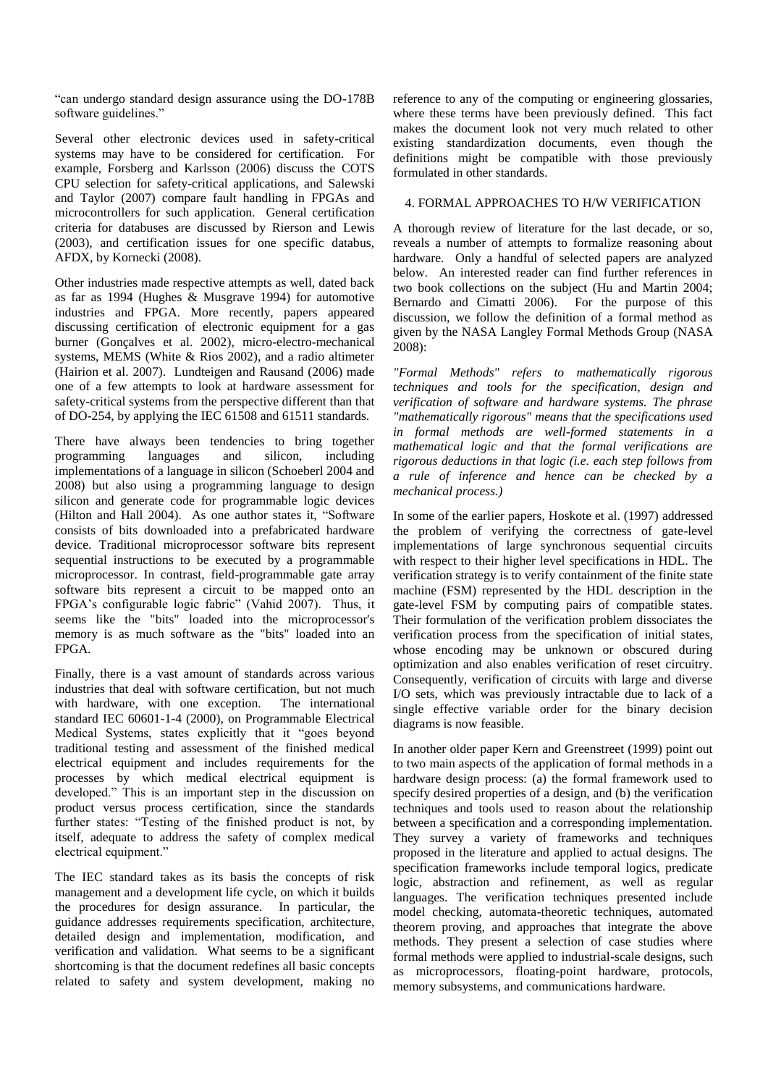"can undergo standard design assurance using the DO-178B software guidelines."

Several other electronic devices used in safety-critical systems may have to be considered for certification. For example, Forsberg and Karlsson (2006) discuss the COTS CPU selection for safety-critical applications, and Salewski and Taylor (2007) compare fault handling in FPGAs and microcontrollers for such application. General certification criteria for databuses are discussed by Rierson and Lewis (2003), and certification issues for one specific databus, AFDX, by Kornecki (2008).

Other industries made respective attempts as well, dated back as far as 1994 (Hughes & Musgrave 1994) for automotive industries and FPGA. More recently, papers appeared discussing certification of electronic equipment for a gas burner (Gonçalves et al. 2002), micro-electro-mechanical systems, MEMS (White & Rios 2002), and a radio altimeter (Hairion et al. 2007). Lundteigen and Rausand (2006) made one of a few attempts to look at hardware assessment for safety-critical systems from the perspective different than that of DO-254, by applying the IEC 61508 and 61511 standards.

There have always been tendencies to bring together programming languages and silicon, including implementations of a language in silicon (Schoeberl 2004 and 2008) but also using a programming language to design silicon and generate code for programmable logic devices (Hilton and Hall 2004). As one author states it, "Software consists of bits downloaded into a prefabricated hardware device. Traditional microprocessor software bits represent sequential instructions to be executed by a programmable microprocessor. In contrast, field-programmable gate array software bits represent a circuit to be mapped onto an FPGA's configurable logic fabric" (Vahid 2007). Thus, it seems like the "bits" loaded into the microprocessor's memory is as much software as the "bits" loaded into an FPGA.

Finally, there is a vast amount of standards across various industries that deal with software certification, but not much with hardware, with one exception. The international standard IEC 60601-1-4 (2000), on Programmable Electrical Medical Systems, states explicitly that it "goes beyond traditional testing and assessment of the finished medical electrical equipment and includes requirements for the processes by which medical electrical equipment is developed." This is an important step in the discussion on product versus process certification, since the standards further states: "Testing of the finished product is not, by itself, adequate to address the safety of complex medical electrical equipment."

The IEC standard takes as its basis the concepts of risk management and a development life cycle, on which it builds the procedures for design assurance. In particular, the guidance addresses requirements specification, architecture, detailed design and implementation, modification, and verification and validation. What seems to be a significant shortcoming is that the document redefines all basic concepts related to safety and system development, making no

reference to any of the computing or engineering glossaries, where these terms have been previously defined. This fact makes the document look not very much related to other existing standardization documents, even though the definitions might be compatible with those previously formulated in other standards.

# 4. FORMAL APPROACHES TO H/W VERIFICATION

A thorough review of literature for the last decade, or so, reveals a number of attempts to formalize reasoning about hardware. Only a handful of selected papers are analyzed below. An interested reader can find further references in two book collections on the subject (Hu and Martin 2004; Bernardo and Cimatti 2006). For the purpose of this discussion, we follow the definition of a formal method as given by the NASA Langley Formal Methods Group (NASA 2008):

*"Formal Methods" refers to mathematically rigorous techniques and tools for the specification, design and verification of software and hardware systems. The phrase "mathematically rigorous" means that the specifications used in formal methods are well-formed statements in a mathematical logic and that the formal verifications are rigorous deductions in that logic (i.e. each step follows from a rule of inference and hence can be checked by a mechanical process.)* 

In some of the earlier papers, Hoskote et al. (1997) addressed the problem of verifying the correctness of gate-level implementations of large synchronous sequential circuits with respect to their higher level specifications in HDL. The verification strategy is to verify containment of the finite state machine (FSM) represented by the HDL description in the gate-level FSM by computing pairs of compatible states. Their formulation of the verification problem dissociates the verification process from the specification of initial states, whose encoding may be unknown or obscured during optimization and also enables verification of reset circuitry. Consequently, verification of circuits with large and diverse I/O sets, which was previously intractable due to lack of a single effective variable order for the binary decision diagrams is now feasible.

In another older paper Kern and Greenstreet (1999) point out to two main aspects of the application of formal methods in a hardware design process: (a) the formal framework used to specify desired properties of a design, and (b) the verification techniques and tools used to reason about the relationship between a specification and a corresponding implementation. They survey a variety of frameworks and techniques proposed in the literature and applied to actual designs. The specification frameworks include temporal logics, predicate logic, abstraction and refinement, as well as regular languages. The verification techniques presented include model checking, automata-theoretic techniques, automated theorem proving, and approaches that integrate the above methods. They present a selection of case studies where formal methods were applied to industrial-scale designs, such as microprocessors, floating-point hardware, protocols, memory subsystems, and communications hardware.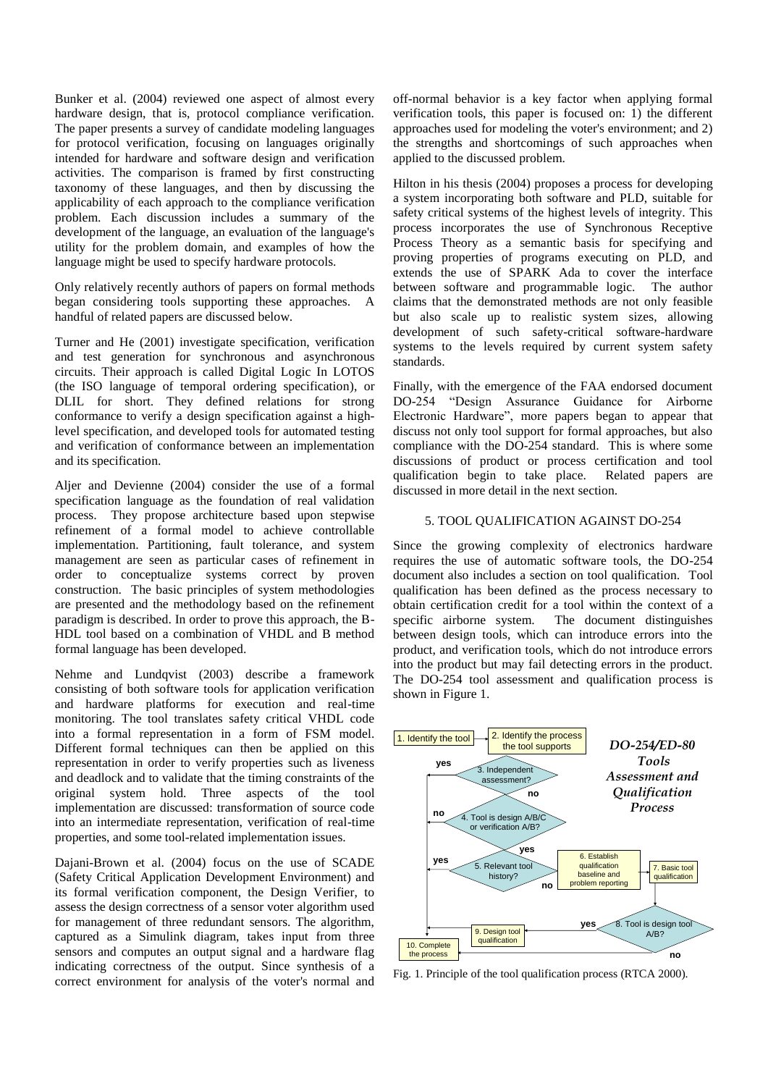Bunker et al. (2004) reviewed one aspect of almost every hardware design, that is, protocol compliance verification. The paper presents a survey of candidate modeling languages for protocol verification, focusing on languages originally intended for hardware and software design and verification activities. The comparison is framed by first constructing taxonomy of these languages, and then by discussing the applicability of each approach to the compliance verification problem. Each discussion includes a summary of the development of the language, an evaluation of the language's utility for the problem domain, and examples of how the language might be used to specify hardware protocols.

Only relatively recently authors of papers on formal methods began considering tools supporting these approaches. handful of related papers are discussed below.

Turner and He (2001) investigate specification, verification and test generation for synchronous and asynchronous circuits. Their approach is called Digital Logic In LOTOS (the ISO language of temporal ordering specification), or DLIL for short. They defined relations for strong conformance to verify a design specification against a highlevel specification, and developed tools for automated testing and verification of conformance between an implementation and its specification.

Aljer and Devienne (2004) consider the use of a formal specification language as the foundation of real validation process. They propose architecture based upon stepwise refinement of a formal model to achieve controllable implementation. Partitioning, fault tolerance, and system management are seen as particular cases of refinement in order to conceptualize systems correct by proven construction. The basic principles of system methodologies are presented and the methodology based on the refinement paradigm is described. In order to prove this approach, the B-HDL tool based on a combination of VHDL and B method formal language has been developed.

Nehme and Lundqvist (2003) describe a framework consisting of both software tools for application verification and hardware platforms for execution and real-time monitoring. The tool translates safety critical VHDL code into a formal representation in a form of FSM model. Different formal techniques can then be applied on this representation in order to verify properties such as liveness and deadlock and to validate that the timing constraints of the original system hold. Three aspects of the tool implementation are discussed: transformation of source code into an intermediate representation, verification of real-time properties, and some tool-related implementation issues.

Dajani-Brown et al. (2004) focus on the use of SCADE (Safety Critical Application Development Environment) and its formal verification component, the Design Verifier, to assess the design correctness of a sensor voter algorithm used for management of three redundant sensors. The algorithm, captured as a Simulink diagram, takes input from three sensors and computes an output signal and a hardware flag indicating correctness of the output. Since synthesis of a correct environment for analysis of the voter's normal and

off-normal behavior is a key factor when applying formal verification tools, this paper is focused on: 1) the different approaches used for modeling the voter's environment; and 2) the strengths and shortcomings of such approaches when applied to the discussed problem.

Hilton in his thesis (2004) proposes a process for developing a system incorporating both software and PLD, suitable for safety critical systems of the highest levels of integrity. This process incorporates the use of Synchronous Receptive Process Theory as a semantic basis for specifying and proving properties of programs executing on PLD, and extends the use of SPARK Ada to cover the interface between software and programmable logic. The author claims that the demonstrated methods are not only feasible but also scale up to realistic system sizes, allowing development of such safety-critical software-hardware systems to the levels required by current system safety standards.

Finally, with the emergence of the FAA endorsed document DO-254 "Design Assurance Guidance for Airborne Electronic Hardware", more papers began to appear that discuss not only tool support for formal approaches, but also compliance with the DO-254 standard. This is where some discussions of product or process certification and tool qualification begin to take place. Related papers are discussed in more detail in the next section.

#### 5. TOOL QUALIFICATION AGAINST DO-254

Since the growing complexity of electronics hardware requires the use of automatic software tools, the DO-254 document also includes a section on tool qualification. Tool qualification has been defined as the process necessary to obtain certification credit for a tool within the context of a specific airborne system. The document distinguishes between design tools, which can introduce errors into the product, and verification tools, which do not introduce errors into the product but may fail detecting errors in the product. The DO-254 tool assessment and qualification process is shown in Figure 1.



Fig. 1. Principle of the tool qualification process (RTCA 2000).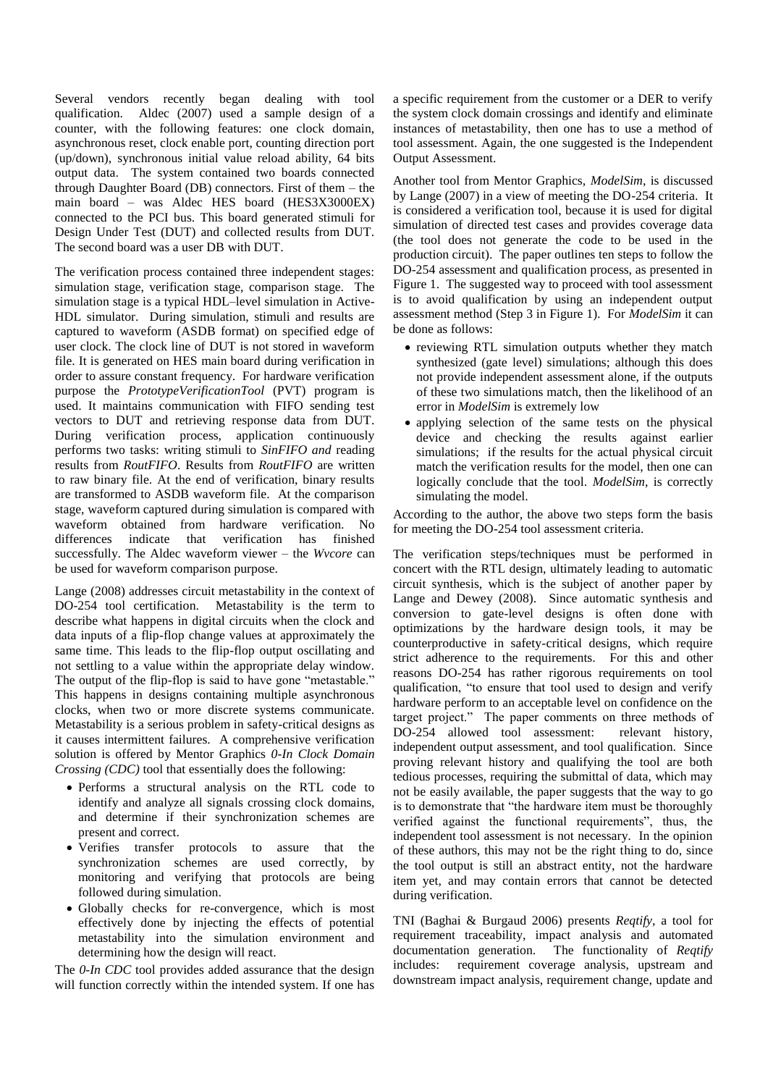Several vendors recently began dealing with tool qualification. Aldec (2007) used a sample design of a counter, with the following features: one clock domain, asynchronous reset, clock enable port, counting direction port (up/down), synchronous initial value reload ability, 64 bits output data. The system contained two boards connected through Daughter Board (DB) connectors. First of them – the main board – was Aldec HES board (HES3X3000EX) connected to the PCI bus. This board generated stimuli for Design Under Test (DUT) and collected results from DUT. The second board was a user DB with DUT.

The verification process contained three independent stages: simulation stage, verification stage, comparison stage. The simulation stage is a typical HDL–level simulation in Active-HDL simulator. During simulation, stimuli and results are captured to waveform (ASDB format) on specified edge of user clock. The clock line of DUT is not stored in waveform file. It is generated on HES main board during verification in order to assure constant frequency. For hardware verification purpose the *PrototypeVerificationTool* (PVT) program is used. It maintains communication with FIFO sending test vectors to DUT and retrieving response data from DUT. During verification process, application continuously performs two tasks: writing stimuli to *SinFIFO and* reading results from *RoutFIFO*. Results from *RoutFIFO* are written to raw binary file. At the end of verification, binary results are transformed to ASDB waveform file. At the comparison stage, waveform captured during simulation is compared with waveform obtained from hardware verification. No differences indicate that verification has finished successfully. The Aldec waveform viewer – the *Wvcore* can be used for waveform comparison purpose.

Lange (2008) addresses circuit metastability in the context of DO-254 tool certification. Metastability is the term to describe what happens in digital circuits when the clock and data inputs of a flip-flop change values at approximately the same time. This leads to the flip-flop output oscillating and not settling to a value within the appropriate delay window. The output of the flip-flop is said to have gone "metastable." This happens in designs containing multiple asynchronous clocks, when two or more discrete systems communicate. Metastability is a serious problem in safety-critical designs as it causes intermittent failures. A comprehensive verification solution is offered by Mentor Graphics *0-In Clock Domain Crossing (CDC)* tool that essentially does the following:

- Performs a structural analysis on the RTL code to identify and analyze all signals crossing clock domains, and determine if their synchronization schemes are present and correct.
- Verifies transfer protocols to assure that the synchronization schemes are used correctly, by monitoring and verifying that protocols are being followed during simulation.
- Globally checks for re-convergence, which is most effectively done by injecting the effects of potential metastability into the simulation environment and determining how the design will react.

The *0-In CDC* tool provides added assurance that the design will function correctly within the intended system. If one has a specific requirement from the customer or a DER to verify the system clock domain crossings and identify and eliminate instances of metastability, then one has to use a method of tool assessment. Again, the one suggested is the Independent Output Assessment.

Another tool from Mentor Graphics, *ModelSim*, is discussed by Lange (2007) in a view of meeting the DO-254 criteria. It is considered a verification tool, because it is used for digital simulation of directed test cases and provides coverage data (the tool does not generate the code to be used in the production circuit). The paper outlines ten steps to follow the DO-254 assessment and qualification process, as presented in Figure 1. The suggested way to proceed with tool assessment is to avoid qualification by using an independent output assessment method (Step 3 in Figure 1). For *ModelSim* it can be done as follows:

- reviewing RTL simulation outputs whether they match synthesized (gate level) simulations; although this does not provide independent assessment alone, if the outputs of these two simulations match, then the likelihood of an error in *ModelSim* is extremely low
- applying selection of the same tests on the physical device and checking the results against earlier simulations; if the results for the actual physical circuit match the verification results for the model, then one can logically conclude that the tool. *ModelSim*, is correctly simulating the model.

According to the author, the above two steps form the basis for meeting the DO-254 tool assessment criteria.

The verification steps/techniques must be performed in concert with the RTL design, ultimately leading to automatic circuit synthesis, which is the subject of another paper by Lange and Dewey (2008). Since automatic synthesis and conversion to gate-level designs is often done with optimizations by the hardware design tools, it may be counterproductive in safety-critical designs, which require strict adherence to the requirements. For this and other reasons DO-254 has rather rigorous requirements on tool qualification, "to ensure that tool used to design and verify hardware perform to an acceptable level on confidence on the target project." The paper comments on three methods of DO-254 allowed tool assessment: relevant history, independent output assessment, and tool qualification. Since proving relevant history and qualifying the tool are both tedious processes, requiring the submittal of data, which may not be easily available, the paper suggests that the way to go is to demonstrate that "the hardware item must be thoroughly verified against the functional requirements", thus, the independent tool assessment is not necessary. In the opinion of these authors, this may not be the right thing to do, since the tool output is still an abstract entity, not the hardware item yet, and may contain errors that cannot be detected during verification.

TNI (Baghai & Burgaud 2006) presents *Reqtify*, a tool for requirement traceability, impact analysis and automated documentation generation. The functionality of *Reqtify* includes: requirement coverage analysis, upstream and downstream impact analysis, requirement change, update and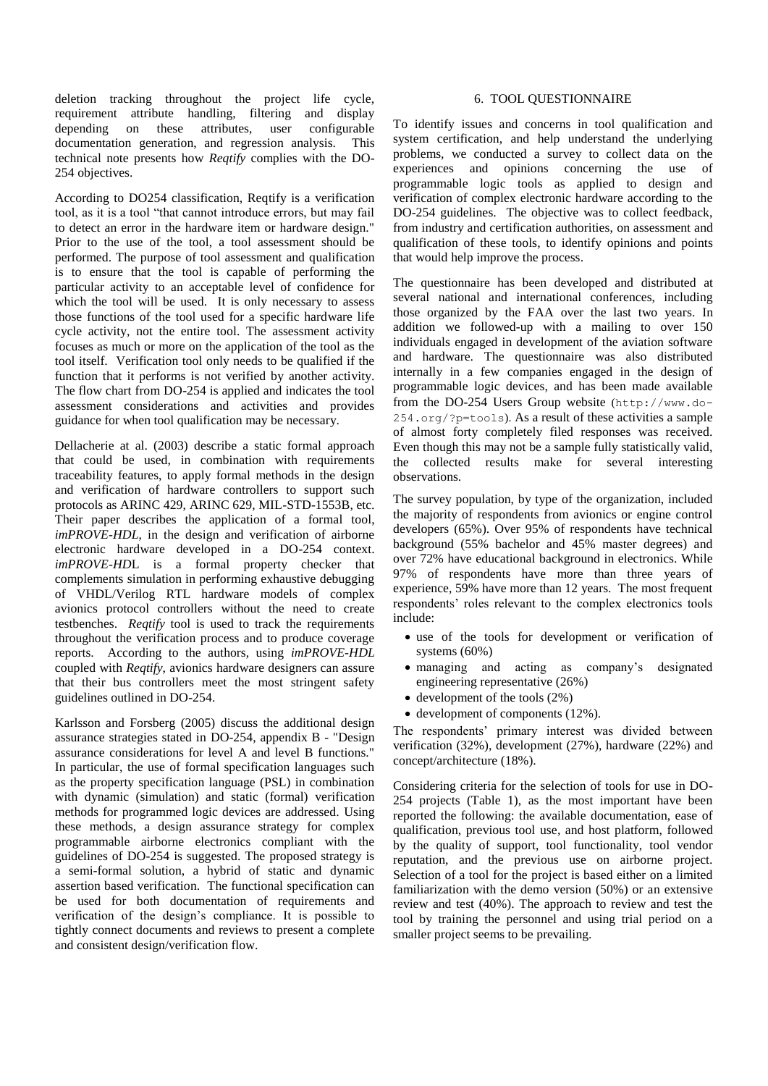deletion tracking throughout the project life cycle, requirement attribute handling, filtering and display depending on these attributes, user configurable documentation generation, and regression analysis. This technical note presents how *Reqtify* complies with the DO-254 objectives.

According to DO254 classification, Reqtify is a verification tool, as it is a tool "that cannot introduce errors, but may fail to detect an error in the hardware item or hardware design." Prior to the use of the tool, a tool assessment should be performed. The purpose of tool assessment and qualification is to ensure that the tool is capable of performing the particular activity to an acceptable level of confidence for which the tool will be used. It is only necessary to assess those functions of the tool used for a specific hardware life cycle activity, not the entire tool. The assessment activity focuses as much or more on the application of the tool as the tool itself. Verification tool only needs to be qualified if the function that it performs is not verified by another activity. The flow chart from DO-254 is applied and indicates the tool assessment considerations and activities and provides guidance for when tool qualification may be necessary.

Dellacherie at al. (2003) describe a static formal approach that could be used, in combination with requirements traceability features, to apply formal methods in the design and verification of hardware controllers to support such protocols as ARINC 429, ARINC 629, MIL-STD-1553B, etc. Their paper describes the application of a formal tool, *imPROVE-HDL*, in the design and verification of airborne electronic hardware developed in a DO-254 context. *imPROVE-HD*L is a formal property checker that complements simulation in performing exhaustive debugging of VHDL/Verilog RTL hardware models of complex avionics protocol controllers without the need to create testbenches. *Reqtify* tool is used to track the requirements throughout the verification process and to produce coverage reports. According to the authors, using *imPROVE-HDL* coupled with *Reqtify*, avionics hardware designers can assure that their bus controllers meet the most stringent safety guidelines outlined in DO-254.

Karlsson and Forsberg (2005) discuss the additional design assurance strategies stated in DO-254, appendix B - "Design assurance considerations for level A and level B functions." In particular, the use of formal specification languages such as the property specification language (PSL) in combination with dynamic (simulation) and static (formal) verification methods for programmed logic devices are addressed. Using these methods, a design assurance strategy for complex programmable airborne electronics compliant with the guidelines of DO-254 is suggested. The proposed strategy is a semi-formal solution, a hybrid of static and dynamic assertion based verification. The functional specification can be used for both documentation of requirements and verification of the design's compliance. It is possible to tightly connect documents and reviews to present a complete and consistent design/verification flow.

# 6. TOOL QUESTIONNAIRE

To identify issues and concerns in tool qualification and system certification, and help understand the underlying problems, we conducted a survey to collect data on the experiences and opinions concerning the use of programmable logic tools as applied to design and verification of complex electronic hardware according to the DO-254 guidelines. The objective was to collect feedback, from industry and certification authorities, on assessment and qualification of these tools, to identify opinions and points that would help improve the process.

The questionnaire has been developed and distributed at several national and international conferences, including those organized by the FAA over the last two years. In addition we followed-up with a mailing to over 150 individuals engaged in development of the aviation software and hardware. The questionnaire was also distributed internally in a few companies engaged in the design of programmable logic devices, and has been made available from the DO-254 Users Group website (http://www.do-254.org/?p=tools). As a result of these activities a sample of almost forty completely filed responses was received. Even though this may not be a sample fully statistically valid, the collected results make for several interesting observations.

The survey population, by type of the organization, included the majority of respondents from avionics or engine control developers (65%). Over 95% of respondents have technical background (55% bachelor and 45% master degrees) and over 72% have educational background in electronics. While 97% of respondents have more than three years of experience, 59% have more than 12 years. The most frequent respondents' roles relevant to the complex electronics tools include:

- use of the tools for development or verification of systems (60%)
- managing and acting as company's designated engineering representative (26%)
- $\bullet$  development of the tools (2%)
- development of components (12%).

The respondents' primary interest was divided between verification (32%), development (27%), hardware (22%) and concept/architecture (18%).

Considering criteria for the selection of tools for use in DO-254 projects (Table 1), as the most important have been reported the following: the available documentation, ease of qualification, previous tool use, and host platform, followed by the quality of support, tool functionality, tool vendor reputation, and the previous use on airborne project. Selection of a tool for the project is based either on a limited familiarization with the demo version (50%) or an extensive review and test (40%). The approach to review and test the tool by training the personnel and using trial period on a smaller project seems to be prevailing.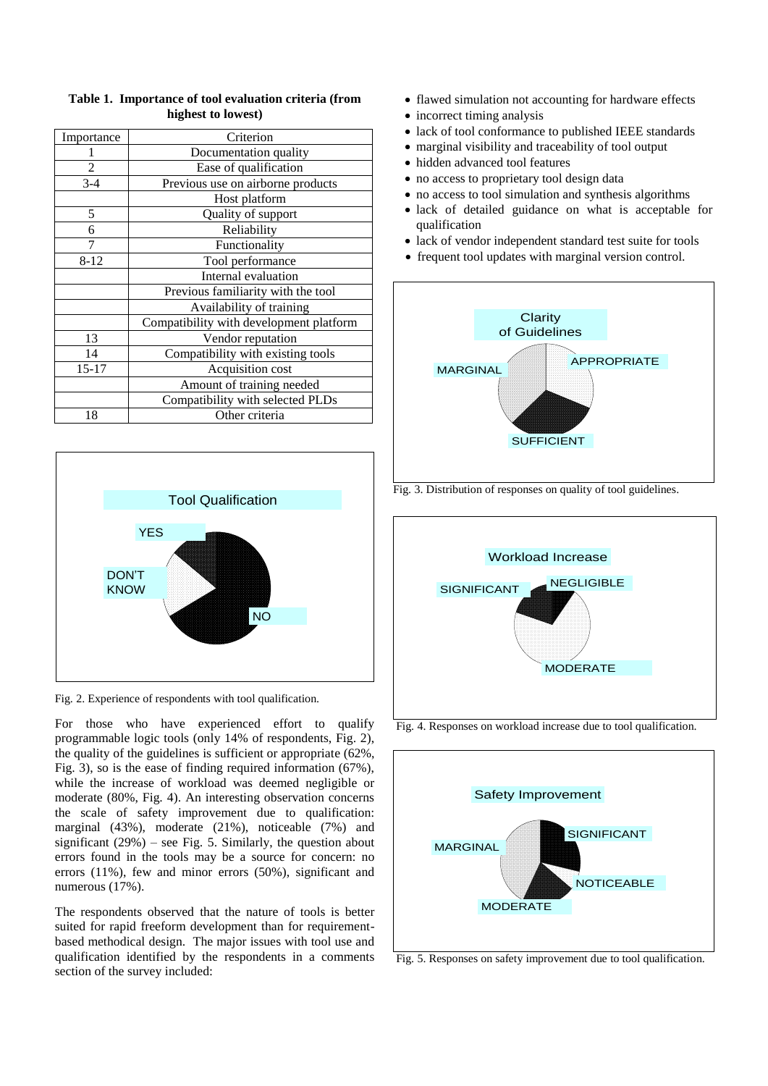| Importance | Criterion                               |
|------------|-----------------------------------------|
|            | Documentation quality                   |
| 2          | Ease of qualification                   |
| $3 - 4$    | Previous use on airborne products       |
|            | Host platform                           |
| 5          | Quality of support                      |
| 6          | Reliability                             |
| 7          | Functionality                           |
| $8 - 12$   | Tool performance                        |
|            | Internal evaluation                     |
|            | Previous familiarity with the tool      |
|            | Availability of training                |
|            | Compatibility with development platform |
| 13         | Vendor reputation                       |
| 14         | Compatibility with existing tools       |
| $15 - 17$  | Acquisition cost                        |
|            | Amount of training needed               |
|            | Compatibility with selected PLDs        |
| 18         | Other criteria                          |

#### **Table 1. Importance of tool evaluation criteria (from highest to lowest)**



Fig. 2. Experience of respondents with tool qualification.

For those who have experienced effort to qualify programmable logic tools (only 14% of respondents, Fig. 2), the quality of the guidelines is sufficient or appropriate (62%, Fig. 3), so is the ease of finding required information (67%), while the increase of workload was deemed negligible or moderate (80%, Fig. 4). An interesting observation concerns the scale of safety improvement due to qualification: marginal (43%), moderate (21%), noticeable (7%) and significant  $(29%)$  – see Fig. 5. Similarly, the question about errors found in the tools may be a source for concern: no errors (11%), few and minor errors (50%), significant and numerous (17%).

The respondents observed that the nature of tools is better suited for rapid freeform development than for requirementbased methodical design. The major issues with tool use and qualification identified by the respondents in a comments section of the survey included:

- flawed simulation not accounting for hardware effects
- incorrect timing analysis
- lack of tool conformance to published IEEE standards
- marginal visibility and traceability of tool output
- hidden advanced tool features
- no access to proprietary tool design data
- no access to tool simulation and synthesis algorithms
- lack of detailed guidance on what is acceptable for qualification
- lack of vendor independent standard test suite for tools
- frequent tool updates with marginal version control.



Fig. 3. Distribution of responses on quality of tool guidelines.



Fig. 4. Responses on workload increase due to tool qualification.



Fig. 5. Responses on safety improvement due to tool qualification.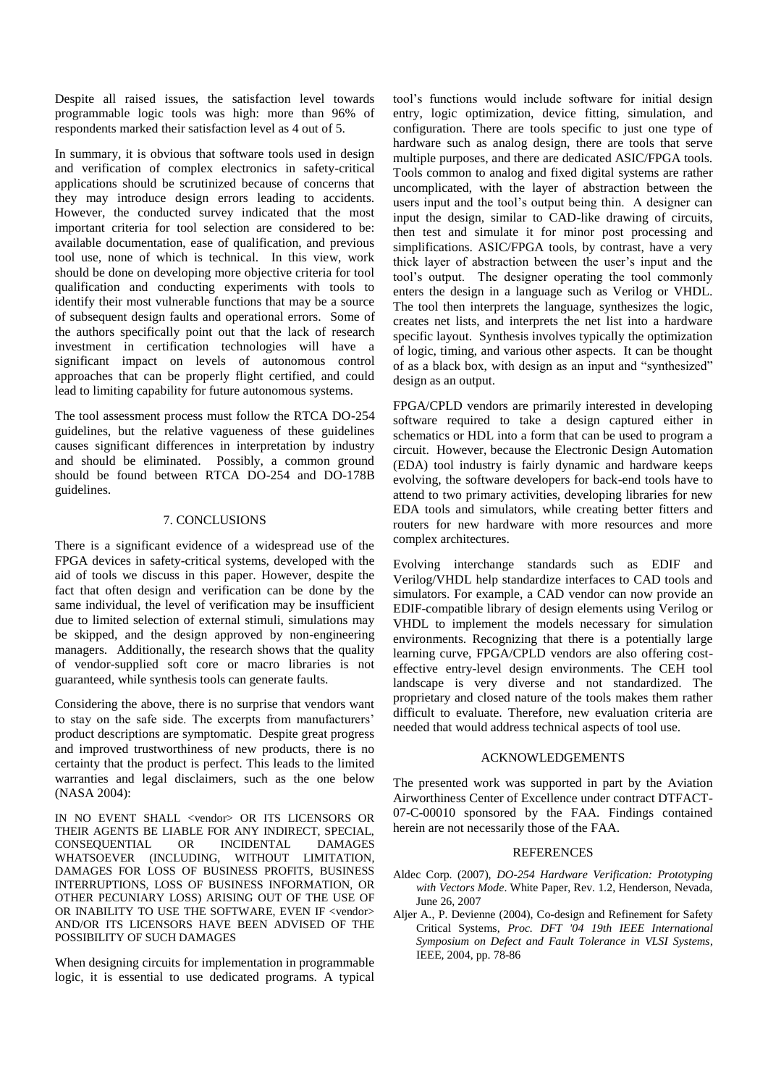Despite all raised issues, the satisfaction level towards programmable logic tools was high: more than 96% of respondents marked their satisfaction level as 4 out of 5.

In summary, it is obvious that software tools used in design and verification of complex electronics in safety-critical applications should be scrutinized because of concerns that they may introduce design errors leading to accidents. However, the conducted survey indicated that the most important criteria for tool selection are considered to be: available documentation, ease of qualification, and previous tool use, none of which is technical. In this view, work should be done on developing more objective criteria for tool qualification and conducting experiments with tools to identify their most vulnerable functions that may be a source of subsequent design faults and operational errors. Some of the authors specifically point out that the lack of research investment in certification technologies will have a significant impact on levels of autonomous control approaches that can be properly flight certified, and could lead to limiting capability for future autonomous systems.

The tool assessment process must follow the RTCA DO-254 guidelines, but the relative vagueness of these guidelines causes significant differences in interpretation by industry and should be eliminated. Possibly, a common ground should be found between RTCA DO-254 and DO-178B guidelines.

# 7. CONCLUSIONS

There is a significant evidence of a widespread use of the FPGA devices in safety-critical systems, developed with the aid of tools we discuss in this paper. However, despite the fact that often design and verification can be done by the same individual, the level of verification may be insufficient due to limited selection of external stimuli, simulations may be skipped, and the design approved by non-engineering managers. Additionally, the research shows that the quality of vendor-supplied soft core or macro libraries is not guaranteed, while synthesis tools can generate faults.

Considering the above, there is no surprise that vendors want to stay on the safe side. The excerpts from manufacturers' product descriptions are symptomatic. Despite great progress and improved trustworthiness of new products, there is no certainty that the product is perfect. This leads to the limited warranties and legal disclaimers, such as the one below (NASA 2004):

IN NO EVENT SHALL <vendor> OR ITS LICENSORS OR THEIR AGENTS BE LIABLE FOR ANY INDIRECT, SPECIAL, CONSEQUENTIAL OR INCIDENTAL DAMAGES WHATSOEVER (INCLUDING, WITHOUT LIMITATION, DAMAGES FOR LOSS OF BUSINESS PROFITS, BUSINESS INTERRUPTIONS, LOSS OF BUSINESS INFORMATION, OR OTHER PECUNIARY LOSS) ARISING OUT OF THE USE OF OR INABILITY TO USE THE SOFTWARE, EVEN IF <vendor> AND/OR ITS LICENSORS HAVE BEEN ADVISED OF THE POSSIBILITY OF SUCH DAMAGES

When designing circuits for implementation in programmable logic, it is essential to use dedicated programs. A typical

tool's functions would include software for initial design entry, logic optimization, device fitting, simulation, and configuration. There are tools specific to just one type of hardware such as analog design, there are tools that serve multiple purposes, and there are dedicated ASIC/FPGA tools. Tools common to analog and fixed digital systems are rather uncomplicated, with the layer of abstraction between the users input and the tool's output being thin. A designer can input the design, similar to CAD-like drawing of circuits, then test and simulate it for minor post processing and simplifications. ASIC/FPGA tools, by contrast, have a very thick layer of abstraction between the user's input and the tool's output. The designer operating the tool commonly enters the design in a language such as Verilog or VHDL. The tool then interprets the language, synthesizes the logic, creates net lists, and interprets the net list into a hardware specific layout. Synthesis involves typically the optimization of logic, timing, and various other aspects. It can be thought of as a black box, with design as an input and "synthesized" design as an output.

FPGA/CPLD vendors are primarily interested in developing software required to take a design captured either in schematics or HDL into a form that can be used to program a circuit. However, because the Electronic Design Automation (EDA) tool industry is fairly dynamic and hardware keeps evolving, the software developers for back-end tools have to attend to two primary activities, developing libraries for new EDA tools and simulators, while creating better fitters and routers for new hardware with more resources and more complex architectures.

Evolving interchange standards such as EDIF and Verilog/VHDL help standardize interfaces to CAD tools and simulators. For example, a CAD vendor can now provide an EDIF-compatible library of design elements using Verilog or VHDL to implement the models necessary for simulation environments. Recognizing that there is a potentially large learning curve, FPGA/CPLD vendors are also offering costeffective entry-level design environments. The CEH tool landscape is very diverse and not standardized. The proprietary and closed nature of the tools makes them rather difficult to evaluate. Therefore, new evaluation criteria are needed that would address technical aspects of tool use.

## ACKNOWLEDGEMENTS

The presented work was supported in part by the Aviation Airworthiness Center of Excellence under contract DTFACT-07-C-00010 sponsored by the FAA. Findings contained herein are not necessarily those of the FAA.

# REFERENCES

- Aldec Corp. (2007), *DO-254 Hardware Verification: Prototyping with Vectors Mode*. White Paper, Rev. 1.2, Henderson, Nevada, June 26, 2007
- Aljer A., P. Devienne (2004), Co-design and Refinement for Safety Critical Systems, *Proc. DFT '04 19th IEEE International Symposium on Defect and Fault Tolerance in VLSI Systems*, IEEE, 2004, pp. 78-86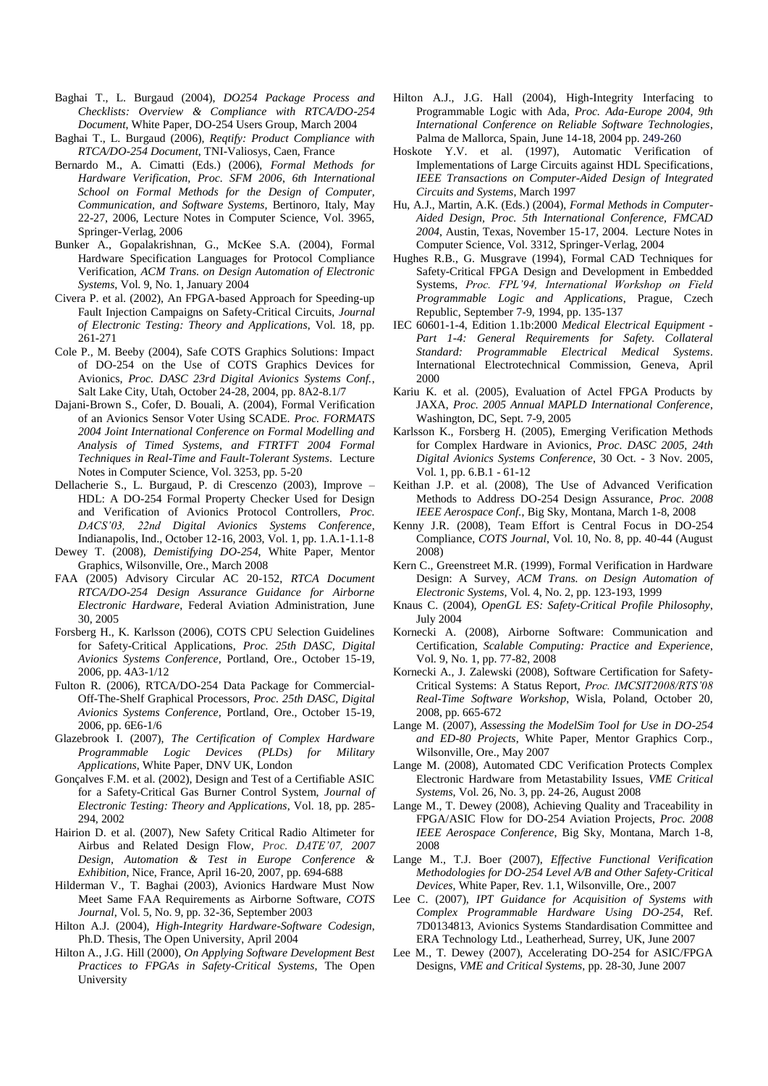- Baghai T., L. Burgaud (2004), *DO254 Package Process and Checklists: Overview & Compliance with RTCA/DO-254 Document*, White Paper, DO-254 Users Group, March 2004
- Baghai T., L. Burgaud (2006), *Reqtify: Product Compliance with RTCA/DO-254 Document*, TNI-Valiosys, Caen, France
- Bernardo M., A. Cimatti (Eds.) (2006), *Formal Methods for Hardware Verification, Proc. SFM 2006*, *6th International School on Formal Methods for the Design of Computer, Communication, and Software Systems,* Bertinoro, Italy, May 22-27, 2006, Lecture Notes in Computer Science, Vol. 3965, Springer-Verlag, 2006
- Bunker A., Gopalakrishnan, G., McKee S.A. (2004), Formal Hardware Specification Languages for Protocol Compliance Verification, *ACM Trans. on Design Automation of Electronic Systems*, Vol. 9, No. 1, January 2004
- Civera P. et al. (2002), An FPGA-based Approach for Speeding-up Fault Injection Campaigns on Safety-Critical Circuits, *Journal of Electronic Testing: Theory and Applications*, Vol. 18, pp. 261-271
- Cole P., M. Beeby (2004), Safe COTS Graphics Solutions: Impact of DO-254 on the Use of COTS Graphics Devices for Avionics, *Proc. DASC 23rd Digital Avionics Systems Conf.*, Salt Lake City, Utah, October 24-28, 2004, pp. 8A2-8.1/7
- Dajani-Brown S., Cofer, D. Bouali, A. (2004), Formal Verification of an Avionics Sensor Voter Using SCADE. *Proc. FORMATS 2004 Joint International Conference on Formal Modelling and Analysis of Timed Systems, and FTRTFT 2004 Formal Techniques in Real-Time and Fault-Tolerant Systems*. Lecture Notes in Computer Science, Vol. 3253, pp. 5-20
- Dellacherie S., L. Burgaud, P. di Crescenzo (2003), Improve HDL: A DO-254 Formal Property Checker Used for Design and Verification of Avionics Protocol Controllers, *Proc. DACS'03, 22nd Digital Avionics Systems Conference*, Indianapolis, Ind., October 12-16, 2003, Vol. 1, pp. 1.A.1-1.1-8
- Dewey T. (2008), *Demistifying DO-254*, White Paper, Mentor Graphics, Wilsonville, Ore., March 2008
- FAA (2005) Advisory Circular AC 20-152, *RTCA Document RTCA/DO-254 Design Assurance Guidance for Airborne Electronic Hardware*, Federal Aviation Administration, June 30, 2005
- Forsberg H., K. Karlsson (2006), COTS CPU Selection Guidelines for Safety-Critical Applications, *Proc. 25th DASC, Digital Avionics Systems Conference*, Portland, Ore., October 15-19, 2006, pp. 4A3-1/12
- Fulton R. (2006), RTCA/DO-254 Data Package for Commercial-Off-The-Shelf Graphical Processors, *Proc. 25th DASC, Digital Avionics Systems Conference*, Portland, Ore., October 15-19, 2006, pp. 6E6-1/6
- Glazebrook I. (2007), *The Certification of Complex Hardware Programmable Logic Devices (PLDs) for Military Applications*, White Paper, DNV UK, London
- Gonçalves F.M. et al. (2002), Design and Test of a Certifiable ASIC for a Safety-Critical Gas Burner Control System, *Journal of Electronic Testing: Theory and Applications*, Vol. 18, pp. 285- 294, 2002
- Hairion D. et al. (2007), New Safety Critical Radio Altimeter for Airbus and Related Design Flow, *Proc. DATE'07, [2007](http://csdl2.computer.org/persagen/DLAbsToc.jsp?resourcePath=/dl/proceedings/date/&toc=comp/proceedings/date/2007/0801/00/0801toc.xml)  [Design, Automation & Test in Europe Conference &](http://csdl2.computer.org/persagen/DLAbsToc.jsp?resourcePath=/dl/proceedings/date/&toc=comp/proceedings/date/2007/0801/00/0801toc.xml)  [Exhibition](http://csdl2.computer.org/persagen/DLAbsToc.jsp?resourcePath=/dl/proceedings/date/&toc=comp/proceedings/date/2007/0801/00/0801toc.xml)*, Nice, France, April 16-20, 2007, pp. 694-688
- Hilderman V., T. Baghai (2003), Avionics Hardware Must Now Meet Same FAA Requirements as Airborne Software, *COTS Journal*, Vol. 5, No. 9, pp. 32-36, September 2003
- Hilton A.J. (2004), *High-Integrity Hardware-Software Codesign*, Ph.D. Thesis, The Open University, April 2004
- Hilton A., J.G. Hill (2000), *On Applying Software Development Best Practices to FPGAs in Safety-Critical Systems*, The Open University
- Hilton A.J., J.G. Hall (2004), High-Integrity Interfacing to Programmable Logic with Ada, *Proc. Ada-Europe 2004, 9th International Conference on Reliable Software Technologies*, Palma de Mallorca, Spain, June 14-18, 2004 pp. 249-260
- Hoskote Y.V. et al. (1997), Automatic Verification of Implementations of Large Circuits against HDL Specifications, *IEEE Transactions on Computer-Aided Design of Integrated Circuits and Systems*, March 1997
- Hu, A.J., Martin, A.K. (Eds.) (2004), *Formal Methods in Computer-Aided Design, Proc. 5th International Conference, FMCAD 2004*, Austin, Texas, November 15-17, 2004. Lecture Notes in Computer Science, Vol. 3312, Springer-Verlag, 2004
- Hughes R.B., G. Musgrave (1994), Formal CAD Techniques for Safety-Critical FPGA Design and Development in Embedded Systems, *Proc. FPL'94, International Workshop on Field Programmable Logic and Applications*, Prague, Czech Republic, September 7-9, 1994, pp. 135-137
- IEC 60601-1-4, Edition 1.1b:2000 *Medical Electrical Equipment -* Part 1-4: General Requirements for Safety. Collateral *Standard: Programmable Electrical Medical Systems*. International Electrotechnical Commission, Geneva, April 2000
- Kariu K. et al. (2005), Evaluation of Actel FPGA Products by JAXA, *Proc. 2005 Annual MAPLD International Conference*, Washington, DC, Sept. 7-9, 2005
- Karlsson K., Forsberg H. (2005), Emerging Verification Methods for Complex Hardware in Avionics, *Proc. DASC 2005, 24th Digital Avionics Systems Conference*, 30 Oct. - 3 Nov. 2005, Vol. 1, pp. 6.B.1 - 61-12
- Keithan J.P. et al. (2008), The Use of Advanced Verification Methods to Address DO-254 Design Assurance, *Proc. 2008 IEEE Aerospace Conf.*, Big Sky, Montana, March 1-8, 2008
- Kenny J.R. (2008), Team Effort is Central Focus in DO-254 Compliance, *COTS Journal*, Vol. 10, No. 8, pp. 40-44 (August 2008)
- Kern C., Greenstreet M.R. (1999), Formal Verification in Hardware Design: A Survey, *ACM Trans. on Design Automation of Electronic Systems,* Vol. 4, No. 2, pp. 123-193, 1999
- Knaus C. (2004), *OpenGL ES: Safety-Critical Profile Philosophy*, July 2004
- Kornecki A. (2008), Airborne Software: Communication and Certification, *Scalable Computing: Practice and Experience*, Vol. 9, No. 1, pp. 77-82, 2008
- Kornecki A., J. Zalewski (2008), Software Certification for Safety-Critical Systems: A Status Report, *Proc. IMCSIT2008/RTS'08 Real-Time Software Workshop*, Wisla, Poland, October 20, 2008, pp. 665-672
- Lange M. (2007), *Assessing the ModelSim Tool for Use in DO-254 and ED-80 Projects*, White Paper, Mentor Graphics Corp., Wilsonville, Ore., May 2007
- Lange M. (2008), Automated CDC Verification Protects Complex Electronic Hardware from Metastability Issues, *VME Critical Systems*, Vol. 26, No. 3, pp. 24-26, August 2008
- Lange M., T. Dewey (2008), Achieving Quality and Traceability in FPGA/ASIC Flow for DO-254 Aviation Projects, *Proc. 2008 IEEE Aerospace Conference*, Big Sky, Montana, March 1-8, 2008
- Lange M., T.J. Boer (2007), *Effective Functional Verification Methodologies for DO-254 Level A/B and Other Safety-Critical Devices*, White Paper, Rev. 1.1, Wilsonville, Ore., 2007
- Lee C. (2007), *IPT Guidance for Acquisition of Systems with Complex Programmable Hardware Using DO-254*, Ref. 7D0134813, Avionics Systems Standardisation Committee and ERA Technology Ltd., Leatherhead, Surrey, UK, June 2007
- Lee M., T. Dewey (2007), Accelerating DO-254 for ASIC/FPGA Designs, *VME and Critical Systems*, pp. 28-30, June 2007